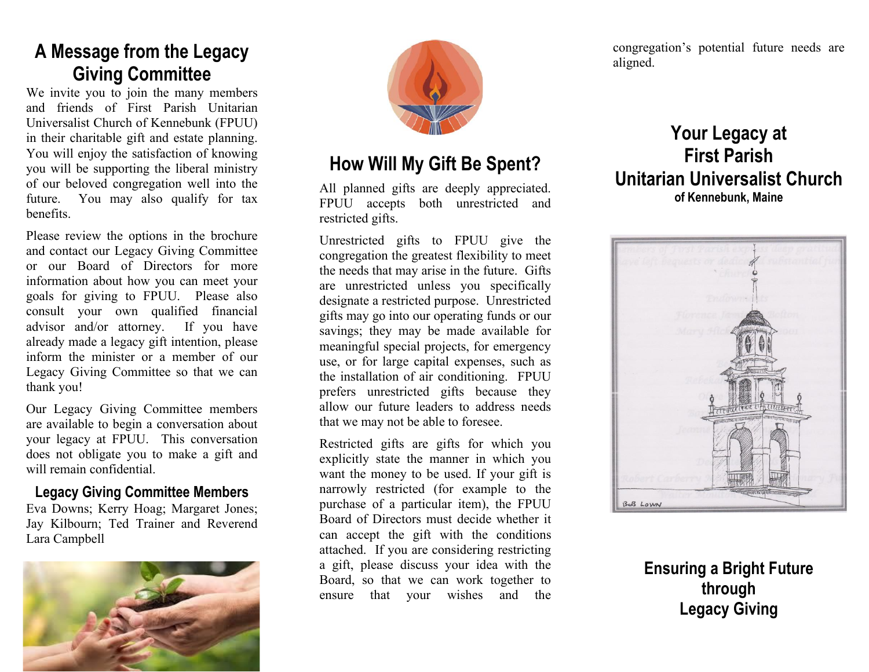## **A Message from the Legacy Giving Committee**

We invite you to join the many members and friends of First Parish Unitarian Universalist Church of Kennebunk (FPUU) in their charitable gift and estate planning. You will enjoy the satisfaction of knowing you will be supporting the liberal ministry of our beloved congregation well into the future. You may also qualify for tax benefits.

Please review the options in the brochure and contact our Legacy Giving Committee or our Board of Directors for more information about how you can meet your goals for giving to FPUU. Please also consult your own qualified financial advisor and/or attorney. If you have already made a legacy gift intention, please inform the minister or a member of our Legacy Giving Committee so that we can thank you!

Our Legacy Giving Committee members are available to begin a conversation about your legacy at FPUU. This conversation does not obligate you to make a gift and will remain confidential.

#### **Legacy Giving Committee Members**

Eva Downs; Kerry Hoag; Margaret Jones; Jay Kilbourn; Ted Trainer and Reverend Lara Campbell





## **How Will My Gift Be Spent?**

All planned gifts are deeply appreciated. FPUU accepts both unrestricted and restricted gifts.

Unrestricted gifts to FPUU give the congregation the greatest flexibility to meet the needs that may arise in the future. Gifts are unrestricted unless you specifically designate a restricted purpose. Unrestricted gifts may go into our operating funds or our savings; they may be made available for meaningful special projects, for emergency use, or for large capital expenses, such as the installation of air conditioning. FPUU prefers unrestricted gifts because they allow our future leaders to address needs that we may not be able to foresee.

Restricted gifts are gifts for which you explicitly state the manner in which you want the money to be used. If your gift is narrowly restricted (for example to the purchase of a particular item), the FPUU Board of Directors must decide whether it can accept the gift with the conditions attached. If you are considering restricting a gift, please discuss your idea with the Board, so that we can work together to ensure that your wishes and the congregation's potential future needs are aligned.

### **Your Legacy at First Parish Unitarian Universalist Church of Kennebunk, Maine**



**Ensuring a Bright Future through Legacy Giving**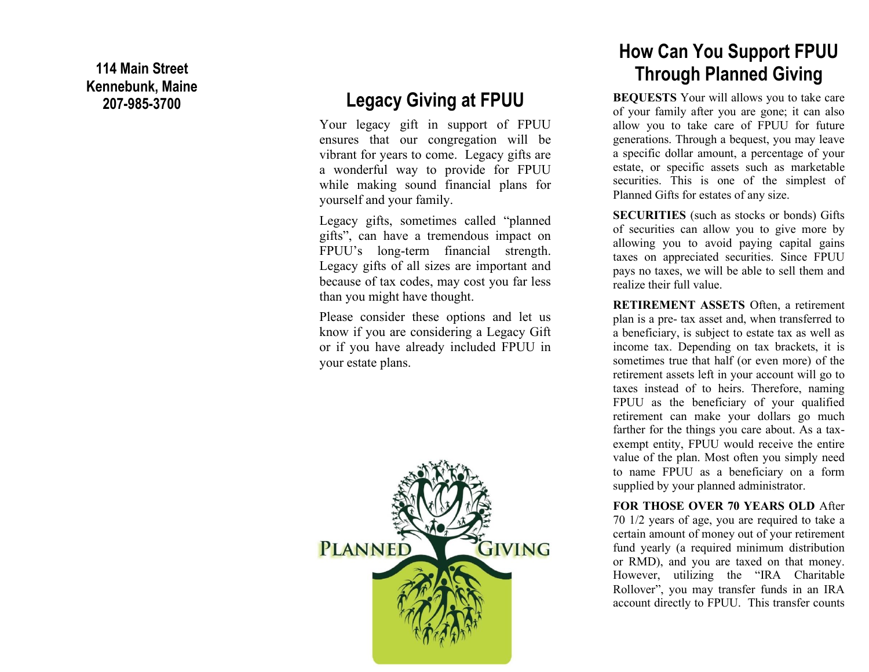**114 Main Street Kennebunk, Maine 207 -985**

### **Legacy Giving at FPUU**

Your legacy gift in support of FPUU ensures that our congregation will be vibrant for years to come. Legacy gifts are a wonderful way to provide for FPUU while making sound financial plans for yourself and your family.

Legacy gifts, sometimes called "planned gifts" , can have a tremendous impact on FPUU's long -term financial strength. Legacy gifts of all sizes are important and because of tax codes, may cost you far less than you might have thought.

Please consider these options and let us know if you are considering a Legacy Gift or if you have already included FPUU in your estate plans.



## **How Can You Support FPUU Through Planned Giving**

**BEQUESTS** Your will allows you to take care of your family after you are gone; it can also allow you to take care of FPUU for future generations. Through a bequest, you may leave a specific dollar amount, a percentage of your estate, or specific assets such as marketable securities. This is one of the simplest of Planned Gifts for estates of any size.

**SECURITIES** (such as stocks or bonds) Gifts of securities can allow you to give more by allowing you to avoid paying capital gains taxes on appreciated securities. Since FPUU pays no taxes, we will be able to sell them and realize their full value.

**RETIREMENT ASSETS** Often, a retirement plan is a pre - tax asset and, when transferred to a beneficiary, is subject to estate tax as well as income tax. Depending on tax brackets, it is sometimes true that half (or even more) of the retirement assets left in your account will go to taxes instead of to heirs. Therefore, naming FPUU as the beneficiary of your qualified retirement can make your dollars go much farther for the things you care about. As a tax exempt entity, FPUU would receive the entire value of the plan. Most often you simply need to name FPUU as a beneficiary on a form supplied by your planned administrator.

#### **FOR THOSE OVER 70 YEARS OLD** After 70 1/2 years of age, you are required to take a certain amount of money out of your retirement fund yearly (a required minimum distribution or RMD), and you are taxed on that money. However, utilizing the "IRA Charitable Rollover", you may transfer funds in an IRA account directly to FPUU. This transfer counts